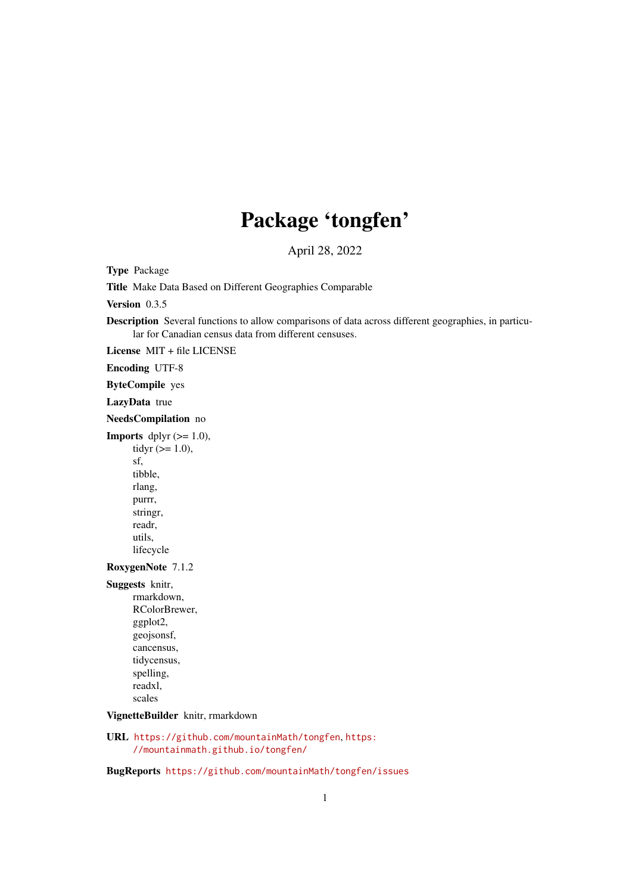# Package 'tongfen'

April 28, 2022

Type Package

Title Make Data Based on Different Geographies Comparable

Version 0.3.5

Description Several functions to allow comparisons of data across different geographies, in particular for Canadian census data from different censuses.

License MIT + file LICENSE

Encoding UTF-8

ByteCompile yes

LazyData true

NeedsCompilation no

**Imports** dplyr  $(>= 1.0)$ , tidyr  $(>= 1.0)$ , sf, tibble, rlang, purrr, stringr, readr, utils, lifecycle

# RoxygenNote 7.1.2

Suggests knitr, rmarkdown, RColorBrewer, ggplot2, geojsonsf, cancensus, tidycensus, spelling, readxl, scales

VignetteBuilder knitr, rmarkdown

URL <https://github.com/mountainMath/tongfen>, [https:](https://mountainmath.github.io/tongfen/) [//mountainmath.github.io/tongfen/](https://mountainmath.github.io/tongfen/)

BugReports <https://github.com/mountainMath/tongfen/issues>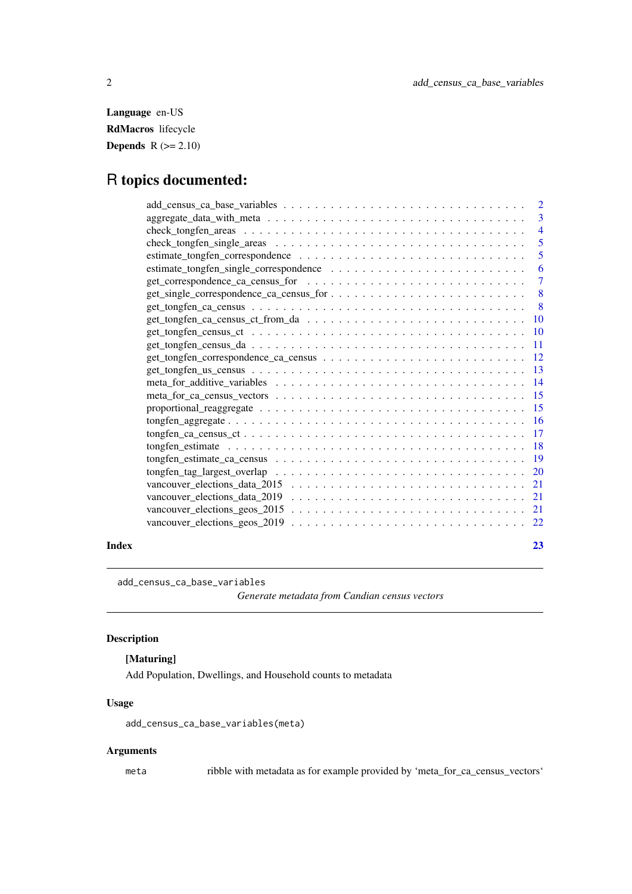<span id="page-1-0"></span>Language en-US RdMacros lifecycle **Depends**  $R$  ( $>= 2.10$ )

# R topics documented:

| $\overline{2}$  |
|-----------------|
| 3               |
| $\overline{4}$  |
| 5               |
| 5               |
| 6               |
| $\overline{7}$  |
| 8               |
| - 8             |
| <b>10</b>       |
|                 |
| <b>11</b>       |
| -12             |
| -13             |
| $\overline{14}$ |
| -15             |
| 15              |
| <sup>16</sup>   |
| -17             |
| <b>18</b>       |
|                 |
| 20              |
| 21              |
| -21             |
| 21              |
| 22              |
|                 |

# **Index** [23](#page-22-0)

add\_census\_ca\_base\_variables

*Generate metadata from Candian census vectors*

# Description

# [Maturing]

Add Population, Dwellings, and Household counts to metadata

### Usage

add\_census\_ca\_base\_variables(meta)

# Arguments

meta ribble with metadata as for example provided by 'meta\_for\_ca\_census\_vectors'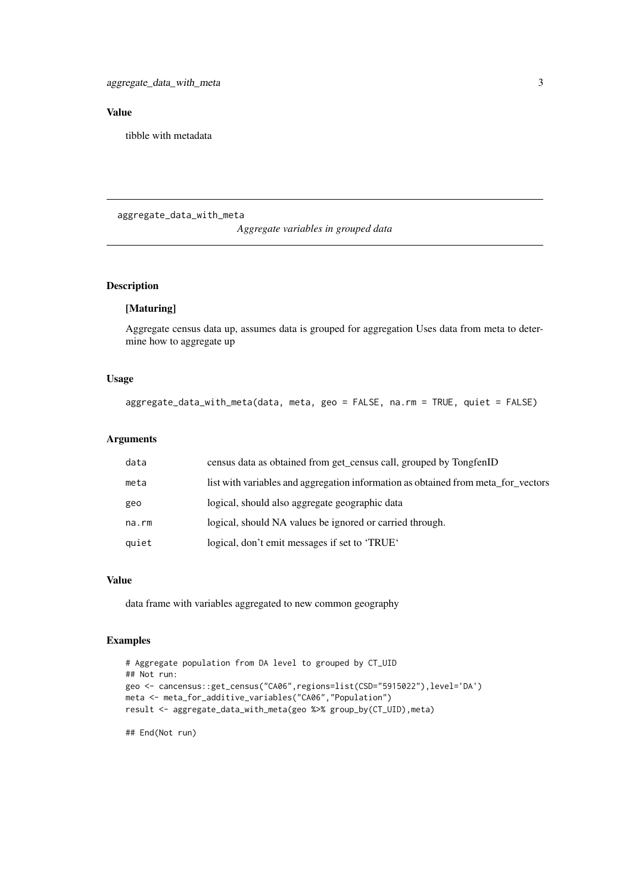### <span id="page-2-0"></span>Value

tibble with metadata

aggregate\_data\_with\_meta

### *Aggregate variables in grouped data*

# Description

# [Maturing]

Aggregate census data up, assumes data is grouped for aggregation Uses data from meta to determine how to aggregate up

# Usage

```
aggregate_data_with_meta(data, meta, geo = FALSE, na.rm = TRUE, quiet = FALSE)
```
### Arguments

| data  | census data as obtained from get_census call, grouped by TongfenID                |
|-------|-----------------------------------------------------------------------------------|
| meta  | list with variables and aggregation information as obtained from meta_for_vectors |
| geo   | logical, should also aggregate geographic data                                    |
| na.rm | logical, should NA values be ignored or carried through.                          |
| quiet | logical, don't emit messages if set to 'TRUE'                                     |

# Value

data frame with variables aggregated to new common geography

# Examples

```
# Aggregate population from DA level to grouped by CT_UID
## Not run:
geo <- cancensus::get_census("CA06",regions=list(CSD="5915022"),level='DA')
meta <- meta_for_additive_variables("CA06","Population")
result <- aggregate_data_with_meta(geo %>% group_by(CT_UID),meta)
```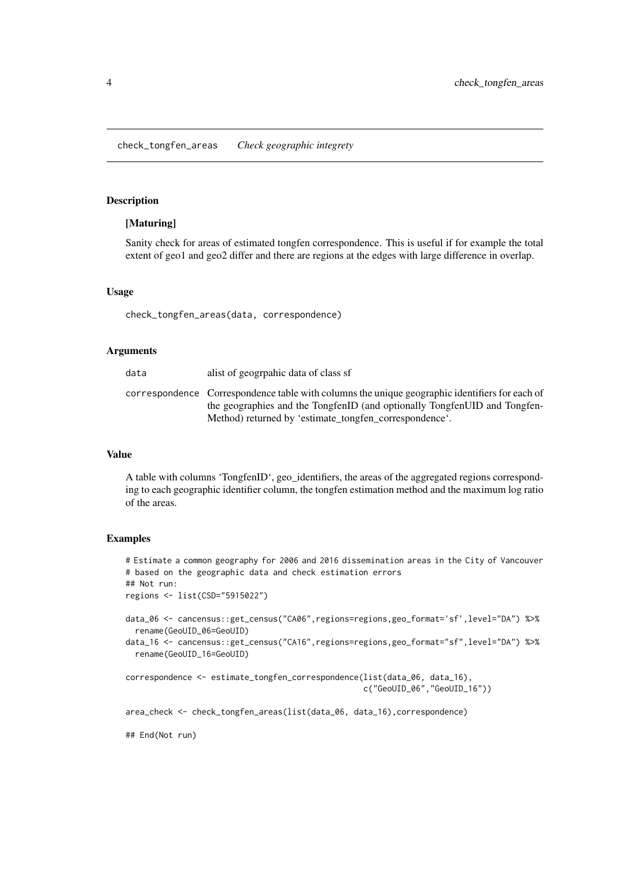<span id="page-3-0"></span>check\_tongfen\_areas *Check geographic integrety*

### Description

### [Maturing]

Sanity check for areas of estimated tongfen correspondence. This is useful if for example the total extent of geo1 and geo2 differ and there are regions at the edges with large difference in overlap.

### Usage

check\_tongfen\_areas(data, correspondence)

### Arguments

| data | alist of geographic data of class sf                                                                                                                                                                                                  |
|------|---------------------------------------------------------------------------------------------------------------------------------------------------------------------------------------------------------------------------------------|
|      | correspondence Correspondence table with columns the unique geographic identifiers for each of<br>the geographies and the TongfenID (and optionally TongfenUID and Tongfen-<br>Method) returned by 'estimate_tongfen_correspondence'. |

### Value

A table with columns 'TongfenID', geo\_identifiers, the areas of the aggregated regions corresponding to each geographic identifier column, the tongfen estimation method and the maximum log ratio of the areas.

## Examples

```
# Estimate a common geography for 2006 and 2016 dissemination areas in the City of Vancouver
# based on the geographic data and check estimation errors
## Not run:
regions <- list(CSD="5915022")
data_06 <- cancensus::get_census("CA06",regions=regions,geo_format='sf',level="DA") %>%
  rename(GeoUID_06=GeoUID)
data_16 <- cancensus::get_census("CA16",regions=regions,geo_format="sf",level="DA") %>%
  rename(GeoUID_16=GeoUID)
correspondence <- estimate_tongfen_correspondence(list(data_06, data_16),
                                                  c("GeoUID_06","GeoUID_16"))
area_check <- check_tongfen_areas(list(data_06, data_16),correspondence)
## End(Not run)
```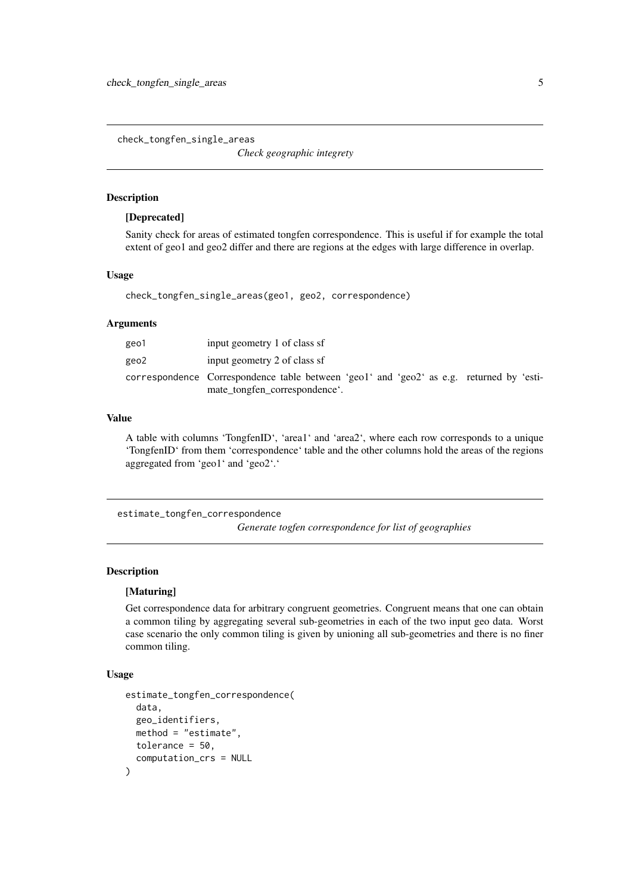<span id="page-4-0"></span>check\_tongfen\_single\_areas

*Check geographic integrety*

# Description

### [Deprecated]

Sanity check for areas of estimated tongfen correspondence. This is useful if for example the total extent of geo1 and geo2 differ and there are regions at the edges with large difference in overlap.

# Usage

check\_tongfen\_single\_areas(geo1, geo2, correspondence)

### Arguments

| geo1 | input geometry 1 of class sf                                                                                              |
|------|---------------------------------------------------------------------------------------------------------------------------|
| geo2 | input geometry 2 of class sf                                                                                              |
|      | correspondence Correspondence table between 'geo1' and 'geo2' as e.g. returned by 'esti-<br>mate_tongfen_correspondence'. |

# Value

A table with columns 'TongfenID', 'area1' and 'area2', where each row corresponds to a unique 'TongfenID' from them 'correspondence' table and the other columns hold the areas of the regions aggregated from 'geo1' and 'geo2'.'

estimate\_tongfen\_correspondence

*Generate togfen correspondence for list of geographies*

### Description

### [Maturing]

Get correspondence data for arbitrary congruent geometries. Congruent means that one can obtain a common tiling by aggregating several sub-geometries in each of the two input geo data. Worst case scenario the only common tiling is given by unioning all sub-geometries and there is no finer common tiling.

# Usage

```
estimate_tongfen_correspondence(
  data,
  geo_identifiers,
  method = "estimate",
  tolerance = 50,
  computation_crs = NULL
)
```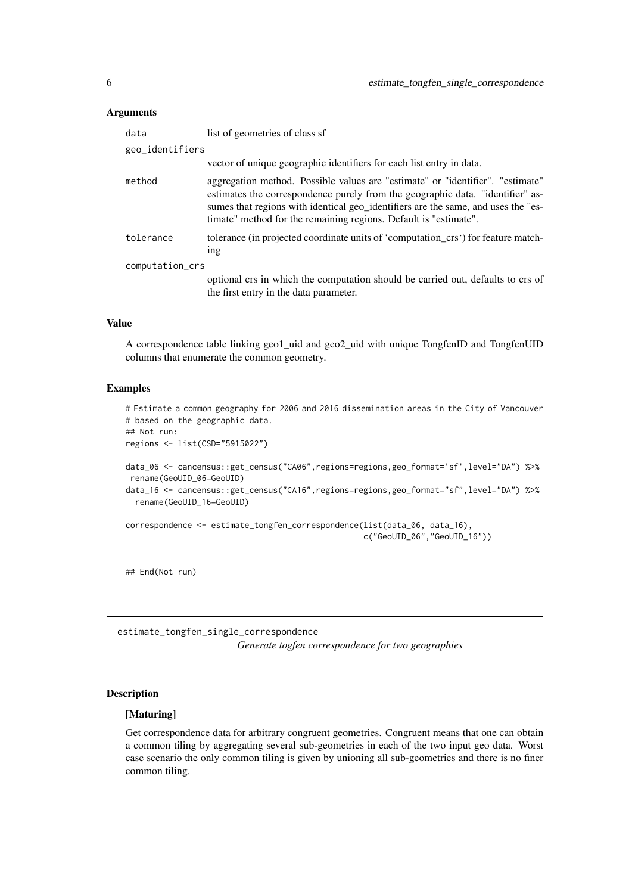### <span id="page-5-0"></span>Arguments

| data            | list of geometries of class sf                                                                                                                                                                                                                                                                                            |
|-----------------|---------------------------------------------------------------------------------------------------------------------------------------------------------------------------------------------------------------------------------------------------------------------------------------------------------------------------|
| geo_identifiers |                                                                                                                                                                                                                                                                                                                           |
|                 | vector of unique geographic identifiers for each list entry in data.                                                                                                                                                                                                                                                      |
| method          | aggregation method. Possible values are "estimate" or "identifier". "estimate"<br>estimates the correspondence purely from the geographic data. "identifier" as-<br>sumes that regions with identical geo_identifiers are the same, and uses the "es-<br>timate" method for the remaining regions. Default is "estimate". |
| tolerance       | tolerance (in projected coordinate units of 'computation_crs') for feature match-<br>1ng                                                                                                                                                                                                                                  |
| computation_crs |                                                                                                                                                                                                                                                                                                                           |
|                 | optional crs in which the computation should be carried out, defaults to crs of<br>the first entry in the data parameter.                                                                                                                                                                                                 |

# Value

A correspondence table linking geo1\_uid and geo2\_uid with unique TongfenID and TongfenUID columns that enumerate the common geometry.

# Examples

```
# Estimate a common geography for 2006 and 2016 dissemination areas in the City of Vancouver
# based on the geographic data.
## Not run:
regions <- list(CSD="5915022")
data_06 <- cancensus::get_census("CA06",regions=regions,geo_format='sf',level="DA") %>%
rename(GeoUID_06=GeoUID)
data_16 <- cancensus::get_census("CA16",regions=regions,geo_format="sf",level="DA") %>%
 rename(GeoUID_16=GeoUID)
correspondence <- estimate_tongfen_correspondence(list(data_06, data_16),
                                                  c("GeoUID_06","GeoUID_16"))
```
## End(Not run)

estimate\_tongfen\_single\_correspondence *Generate togfen correspondence for two geographies*

# Description

### [Maturing]

Get correspondence data for arbitrary congruent geometries. Congruent means that one can obtain a common tiling by aggregating several sub-geometries in each of the two input geo data. Worst case scenario the only common tiling is given by unioning all sub-geometries and there is no finer common tiling.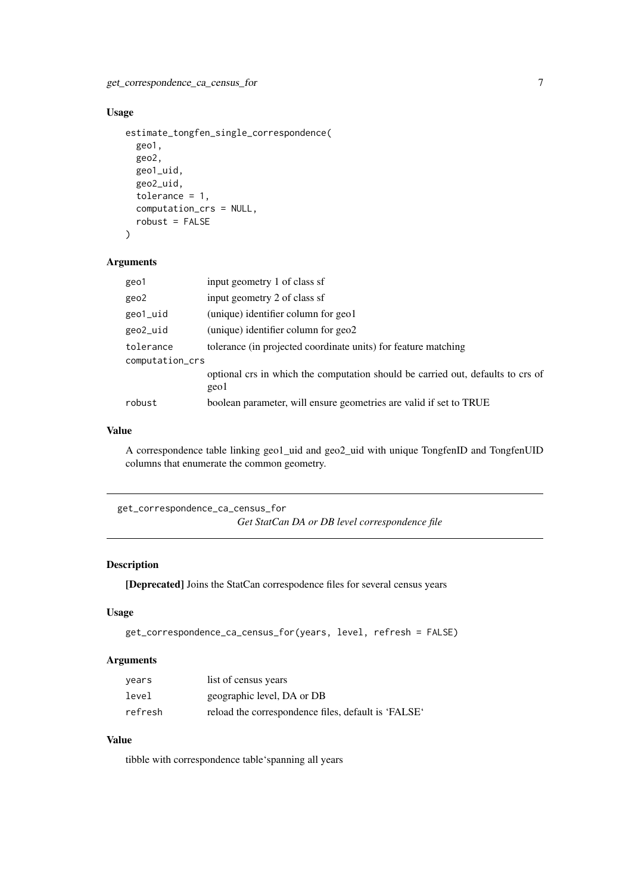# <span id="page-6-0"></span>Usage

```
estimate_tongfen_single_correspondence(
  geo1,
  geo2,
  geo1_uid,
  geo2_uid,
  tolerance = 1,
  computation_crs = NULL,
  robust = FALSE
)
```
# Arguments

|                 | geo1      | input geometry 1 of class sf                                                            |
|-----------------|-----------|-----------------------------------------------------------------------------------------|
|                 | geo2      | input geometry 2 of class sf                                                            |
|                 | geo1_uid  | (unique) identifier column for geo1                                                     |
|                 | geo2_uid  | (unique) identifier column for geo2                                                     |
|                 | tolerance | tolerance (in projected coordinate units) for feature matching                          |
| computation_crs |           |                                                                                         |
|                 |           | optional crs in which the computation should be carried out, defaults to crs of<br>geo1 |
|                 | robust    | boolean parameter, will ensure geometries are valid if set to TRUE                      |

# Value

A correspondence table linking geo1\_uid and geo2\_uid with unique TongfenID and TongfenUID columns that enumerate the common geometry.

```
get_correspondence_ca_census_for
                         Get StatCan DA or DB level correspondence file
```
# Description

[Deprecated] Joins the StatCan correspodence files for several census years

# Usage

```
get_correspondence_ca_census_for(years, level, refresh = FALSE)
```
# Arguments

| years   | list of census years                                |
|---------|-----------------------------------------------------|
| level   | geographic level, DA or DB                          |
| refresh | reload the correspondence files, default is 'FALSE' |

# Value

tibble with correspondence table'spanning all years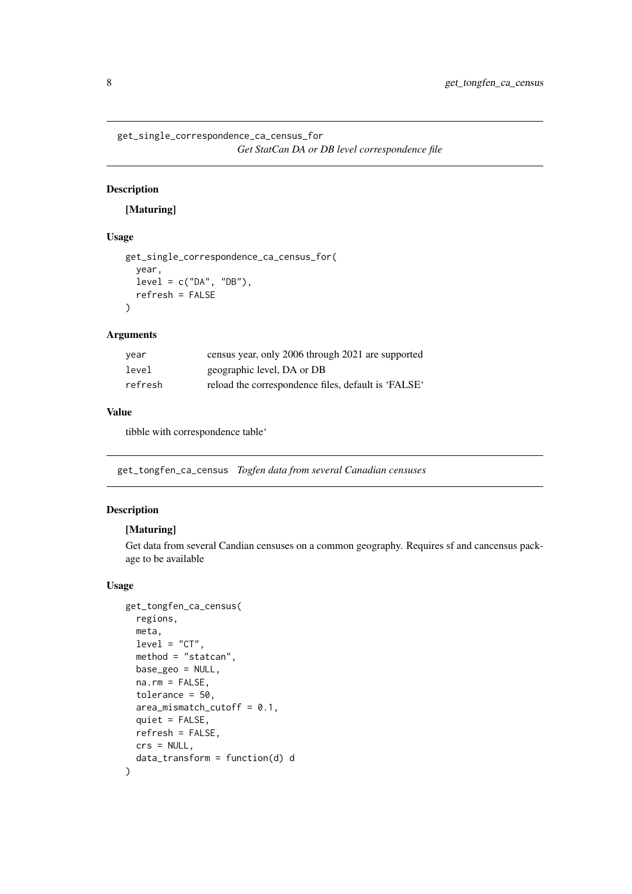```
get_single_correspondence_ca_census_for
                        Get StatCan DA or DB level correspondence file
```
# Description

# [Maturing]

# Usage

```
get_single_correspondence_ca_census_for(
  year,
  level = c("DA", "DB"),refresh = FALSE
\lambda
```
### Arguments

| vear    | census year, only 2006 through 2021 are supported   |
|---------|-----------------------------------------------------|
| level   | geographic level, DA or DB                          |
| refresh | reload the correspondence files, default is 'FALSE' |

# Value

tibble with correspondence table'

get\_tongfen\_ca\_census *Togfen data from several Canadian censuses*

# Description

# [Maturing]

Get data from several Candian censuses on a common geography. Requires sf and cancensus package to be available

# Usage

```
get_tongfen_ca_census(
 regions,
 meta,
 level = "CT",method = "statcan",
 base_geo = NULL,
 na.rm = FALSE,tolerance = 50,
 area_mismatch_cutoff = 0.1,
 quiet = FALSE,
 refresh = FALSE,
 crs = NULL,
 data_transform = function(d) d
)
```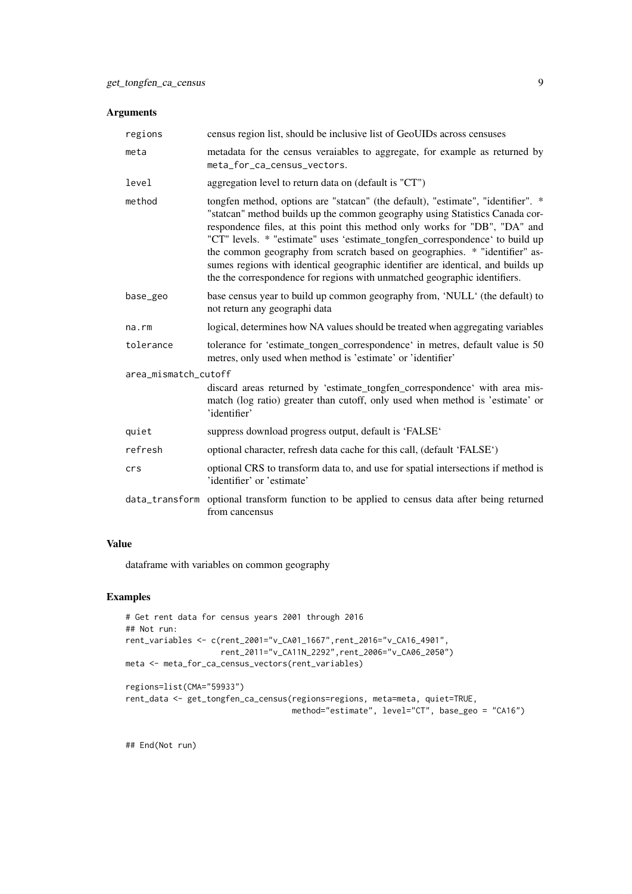### Arguments

| regions              | census region list, should be inclusive list of GeoUIDs across censuses                                                                                                                                                                                                                                                                                                                                                                                                                                                                                                      |  |
|----------------------|------------------------------------------------------------------------------------------------------------------------------------------------------------------------------------------------------------------------------------------------------------------------------------------------------------------------------------------------------------------------------------------------------------------------------------------------------------------------------------------------------------------------------------------------------------------------------|--|
| meta                 | metadata for the census veraiables to aggregate, for example as returned by<br>meta_for_ca_census_vectors.                                                                                                                                                                                                                                                                                                                                                                                                                                                                   |  |
| level                | aggregation level to return data on (default is "CT")                                                                                                                                                                                                                                                                                                                                                                                                                                                                                                                        |  |
| method               | tongfen method, options are "statcan" (the default), "estimate", "identifier". *<br>"statcan" method builds up the common geography using Statistics Canada cor-<br>respondence files, at this point this method only works for "DB", "DA" and<br>"CT" levels. * "estimate" uses 'estimate_tongfen_correspondence' to build up<br>the common geography from scratch based on geographies. * "identifier" as-<br>sumes regions with identical geographic identifier are identical, and builds up<br>the the correspondence for regions with unmatched geographic identifiers. |  |
| base_geo             | base census year to build up common geography from, 'NULL' (the default) to<br>not return any geographi data                                                                                                                                                                                                                                                                                                                                                                                                                                                                 |  |
| $na$ . $rm$          | logical, determines how NA values should be treated when aggregating variables                                                                                                                                                                                                                                                                                                                                                                                                                                                                                               |  |
| tolerance            | tolerance for 'estimate_tongen_correspondence' in metres, default value is 50<br>metres, only used when method is 'estimate' or 'identifier'                                                                                                                                                                                                                                                                                                                                                                                                                                 |  |
| area_mismatch_cutoff |                                                                                                                                                                                                                                                                                                                                                                                                                                                                                                                                                                              |  |
|                      | discard areas returned by 'estimate_tongfen_correspondence' with area mis-<br>match (log ratio) greater than cutoff, only used when method is 'estimate' or<br>'identifier'                                                                                                                                                                                                                                                                                                                                                                                                  |  |
| quiet                | suppress download progress output, default is 'FALSE'                                                                                                                                                                                                                                                                                                                                                                                                                                                                                                                        |  |
| refresh              | optional character, refresh data cache for this call, (default 'FALSE')                                                                                                                                                                                                                                                                                                                                                                                                                                                                                                      |  |
| crs                  | optional CRS to transform data to, and use for spatial intersections if method is<br>'identifier' or 'estimate'                                                                                                                                                                                                                                                                                                                                                                                                                                                              |  |
| data_transform       | optional transform function to be applied to census data after being returned<br>from cancensus                                                                                                                                                                                                                                                                                                                                                                                                                                                                              |  |

# Value

dataframe with variables on common geography

# Examples

```
# Get rent data for census years 2001 through 2016
## Not run:
rent_variables <- c(rent_2001="v_CA01_1667",rent_2016="v_CA16_4901",
                   rent_2011="v_CA11N_2292",rent_2006="v_CA06_2050")
meta <- meta_for_ca_census_vectors(rent_variables)
regions=list(CMA="59933")
rent_data <- get_tongfen_ca_census(regions=regions, meta=meta, quiet=TRUE,
                                  method="estimate", level="CT", base_geo = "CA16")
```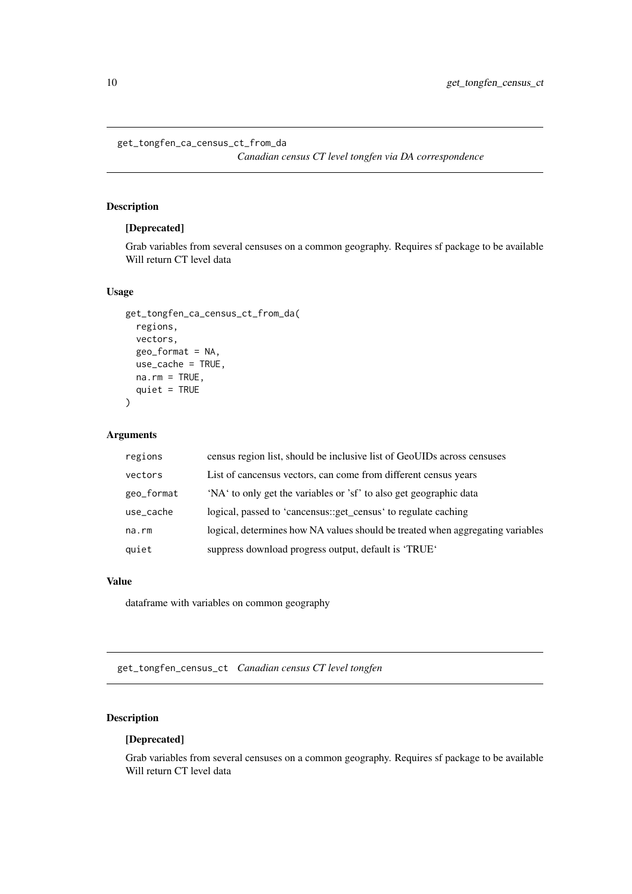```
get_tongfen_ca_census_ct_from_da
```
*Canadian census CT level tongfen via DA correspondence*

# Description

# [Deprecated]

Grab variables from several censuses on a common geography. Requires sf package to be available Will return CT level data

# Usage

```
get_tongfen_ca_census_ct_from_da(
  regions,
  vectors,
  geo_format = NA,
  use_cache = TRUE,
  na.rm = TRUE,quiet = TRUE
\lambda
```
# Arguments

| regions    | census region list, should be inclusive list of GeoUIDs across censuses        |
|------------|--------------------------------------------------------------------------------|
| vectors    | List of cancensus vectors, can come from different census years                |
| geo_format | 'NA' to only get the variables or 'sf' to also get geographic data             |
| use_cache  | logical, passed to 'cancensus::get_census' to regulate caching                 |
| na.rm      | logical, determines how NA values should be treated when aggregating variables |
| quiet      | suppress download progress output, default is 'TRUE'                           |

### Value

dataframe with variables on common geography

get\_tongfen\_census\_ct *Canadian census CT level tongfen*

# Description

# [Deprecated]

Grab variables from several censuses on a common geography. Requires sf package to be available Will return CT level data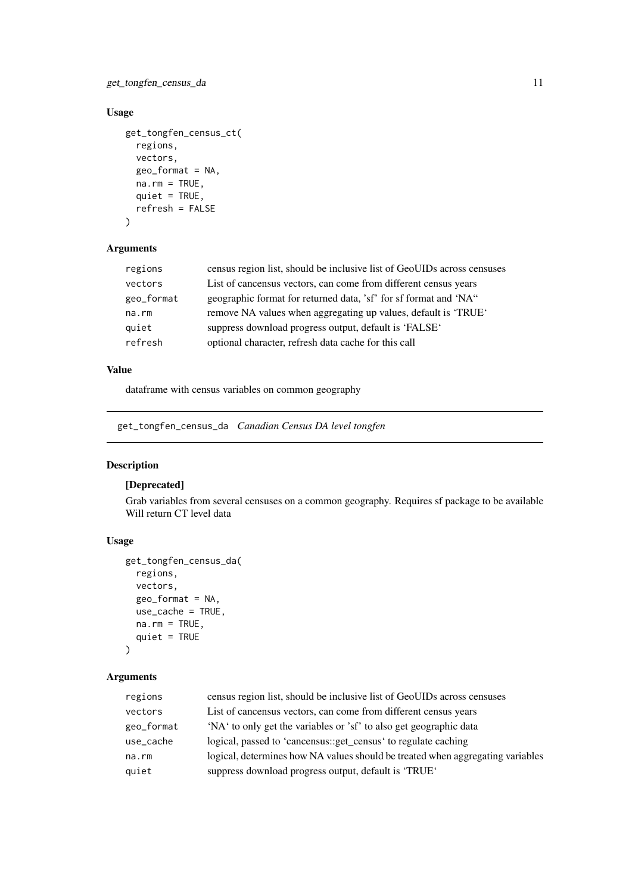# <span id="page-10-0"></span>get\_tongfen\_census\_da 11

# Usage

```
get_tongfen_census_ct(
  regions,
  vectors,
  geo_format = NA,
  na.rm = TRUE,quiet = TRUE,
  refresh = FALSE
\lambda
```
# Arguments

| regions    | census region list, should be inclusive list of GeoUIDs across censuses |
|------------|-------------------------------------------------------------------------|
| vectors    | List of cancensus vectors, can come from different census years         |
| geo_format | geographic format for returned data, 'sf' for sf format and 'NA"        |
| na.rm      | remove NA values when aggregating up values, default is 'TRUE'          |
| quiet      | suppress download progress output, default is 'FALSE'                   |
| refresh    | optional character, refresh data cache for this call                    |

# Value

dataframe with census variables on common geography

get\_tongfen\_census\_da *Canadian Census DA level tongfen*

# Description

# [Deprecated]

Grab variables from several censuses on a common geography. Requires sf package to be available Will return CT level data

# Usage

```
get_tongfen_census_da(
  regions,
  vectors,
  geo_format = NA,
  use cache = TRUE.
 na.rm = TRUE,quiet = TRUE)
```
# Arguments

| regions    | census region list, should be inclusive list of GeoUIDs across censuses        |
|------------|--------------------------------------------------------------------------------|
| vectors    | List of cancensus vectors, can come from different census years                |
| geo_format | 'NA' to only get the variables or 'sf' to also get geographic data             |
| use_cache  | logical, passed to 'cancensus::get_census' to regulate caching                 |
| na.rm      | logical, determines how NA values should be treated when aggregating variables |
| quiet      | suppress download progress output, default is 'TRUE'                           |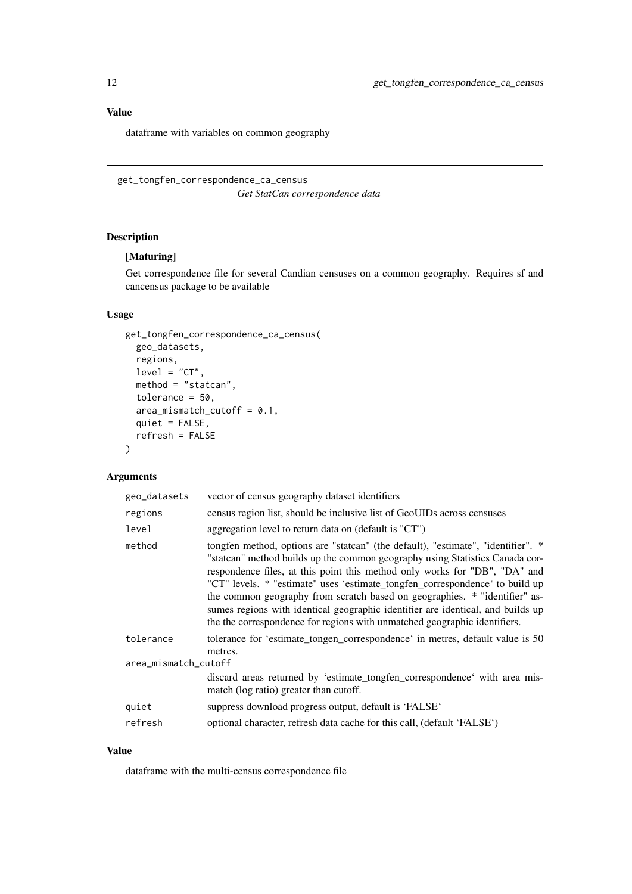## Value

dataframe with variables on common geography

get\_tongfen\_correspondence\_ca\_census *Get StatCan correspondence data*

# Description

# [Maturing]

Get correspondence file for several Candian censuses on a common geography. Requires sf and cancensus package to be available

# Usage

```
get_tongfen_correspondence_ca_census(
 geo_datasets,
 regions,
 level = "CT",method = "statcan",
 tolerance = 50,
 area_mismatch_cutoff = 0.1,
 quiet = FALSE,
 refresh = FALSE
)
```
# Arguments

| geo_datasets         | vector of census geography dataset identifiers                                                                                                                                                                                                                                                                                                                                                                                                                                                                                                                               |
|----------------------|------------------------------------------------------------------------------------------------------------------------------------------------------------------------------------------------------------------------------------------------------------------------------------------------------------------------------------------------------------------------------------------------------------------------------------------------------------------------------------------------------------------------------------------------------------------------------|
| regions              | census region list, should be inclusive list of GeoUIDs across censuses                                                                                                                                                                                                                                                                                                                                                                                                                                                                                                      |
| level                | aggregation level to return data on (default is "CT")                                                                                                                                                                                                                                                                                                                                                                                                                                                                                                                        |
| method               | tongfen method, options are "statcan" (the default), "estimate", "identifier". *<br>"statcan" method builds up the common geography using Statistics Canada cor-<br>respondence files, at this point this method only works for "DB", "DA" and<br>"CT" levels. * "estimate" uses 'estimate_tongfen_correspondence' to build up<br>the common geography from scratch based on geographies. * "identifier" as-<br>sumes regions with identical geographic identifier are identical, and builds up<br>the the correspondence for regions with unmatched geographic identifiers. |
| tolerance            | tolerance for 'estimate_tongen_correspondence' in metres, default value is 50<br>metres.                                                                                                                                                                                                                                                                                                                                                                                                                                                                                     |
| area_mismatch_cutoff |                                                                                                                                                                                                                                                                                                                                                                                                                                                                                                                                                                              |
|                      | discard areas returned by 'estimate_tongfen_correspondence' with area mis-<br>match (log ratio) greater than cutoff.                                                                                                                                                                                                                                                                                                                                                                                                                                                         |
| quiet                | suppress download progress output, default is 'FALSE'                                                                                                                                                                                                                                                                                                                                                                                                                                                                                                                        |
| refresh              | optional character, refresh data cache for this call, (default 'FALSE')                                                                                                                                                                                                                                                                                                                                                                                                                                                                                                      |

# Value

dataframe with the multi-census correspondence file

<span id="page-11-0"></span>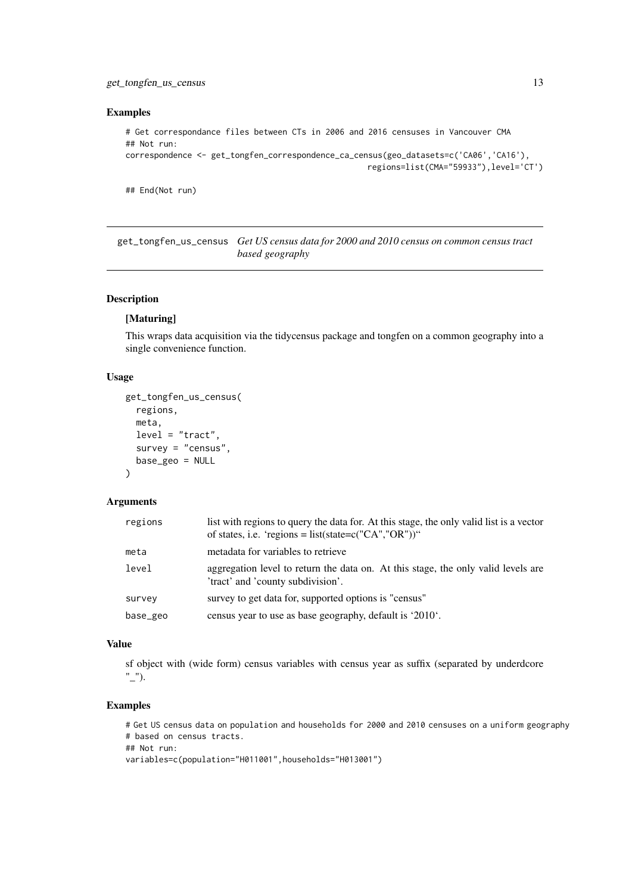### <span id="page-12-0"></span>get\_tongfen\_us\_census 13

### Examples

```
# Get correspondance files between CTs in 2006 and 2016 censuses in Vancouver CMA
## Not run:
correspondence <- get_tongfen_correspondence_ca_census(geo_datasets=c('CA06','CA16'),
                                                   regions=list(CMA="59933"),level='CT')
```
## End(Not run)

get\_tongfen\_us\_census *Get US census data for 2000 and 2010 census on common census tract based geography*

# Description

# [Maturing]

This wraps data acquisition via the tidycensus package and tongfen on a common geography into a single convenience function.

# Usage

```
get_tongfen_us_census(
  regions,
  meta,
  level = "tract",survey = "census",
  base_geo = NULL
\lambda
```
### Arguments

| regions  | list with regions to query the data for. At this stage, the only valid list is a vector<br>of states, i.e. 'regions = $list(state= c("CA", "OR"))$ " |
|----------|------------------------------------------------------------------------------------------------------------------------------------------------------|
| meta     | metadata for variables to retrieve                                                                                                                   |
| level    | aggregation level to return the data on. At this stage, the only valid levels are<br>'tract' and 'county subdivision'.                               |
| survey   | survey to get data for, supported options is "census"                                                                                                |
| base_geo | census year to use as base geography, default is '2010'.                                                                                             |

# Value

sf object with (wide form) census variables with census year as suffix (separated by underdcore "\_").

### Examples

# Get US census data on population and households for 2000 and 2010 censuses on a uniform geography # based on census tracts. ## Not run: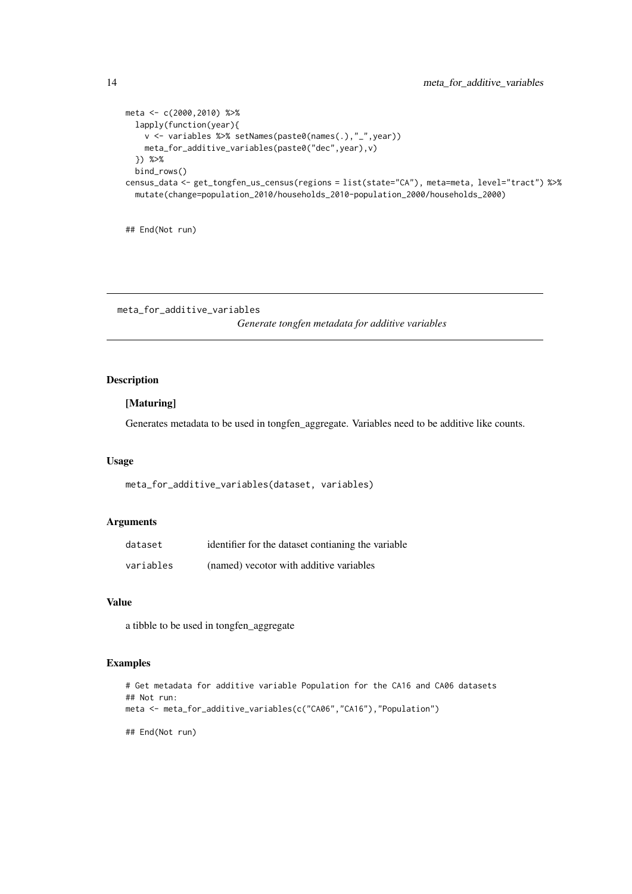```
meta <- c(2000,2010) %>%
  lapply(function(year){
   v <- variables %>% setNames(paste0(names(.),"_",year))
   meta_for_additive_variables(paste0("dec",year),v)
  }) %>%
  bind_rows()
census_data <- get_tongfen_us_census(regions = list(state="CA"), meta=meta, level="tract") %>%
  mutate(change=population_2010/households_2010-population_2000/households_2000)
```
## End(Not run)

meta\_for\_additive\_variables

*Generate tongfen metadata for additive variables*

### Description

# [Maturing]

Generates metadata to be used in tongfen\_aggregate. Variables need to be additive like counts.

### Usage

meta\_for\_additive\_variables(dataset, variables)

# Arguments

| dataset   | identifier for the dataset contianing the variable |
|-----------|----------------------------------------------------|
| variables | (named) vecotor with additive variables            |

# Value

a tibble to be used in tongfen\_aggregate

# Examples

```
# Get metadata for additive variable Population for the CA16 and CA06 datasets
## Not run:
meta <- meta_for_additive_variables(c("CA06","CA16"),"Population")
```
<span id="page-13-0"></span>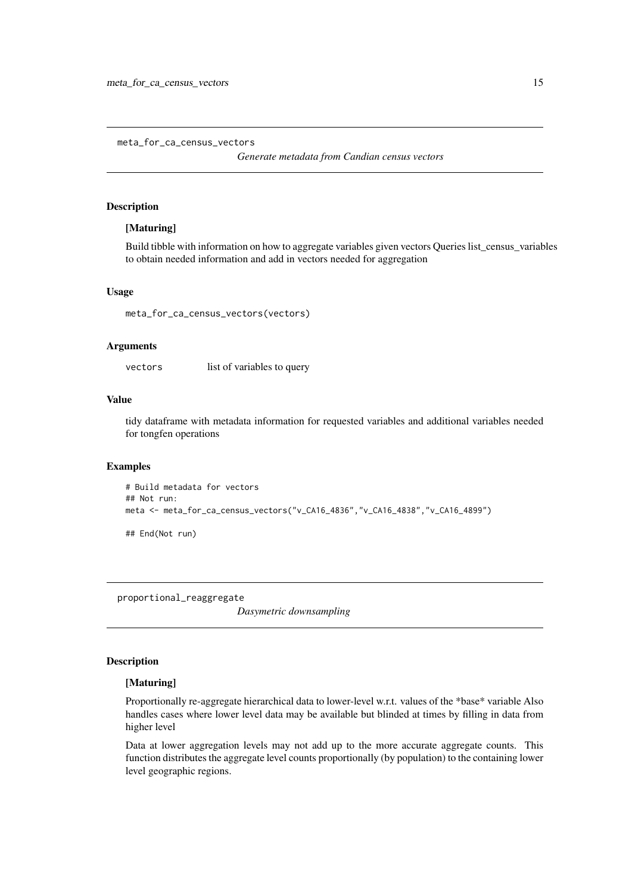<span id="page-14-0"></span>meta\_for\_ca\_census\_vectors

*Generate metadata from Candian census vectors*

# Description

# [Maturing]

Build tibble with information on how to aggregate variables given vectors Queries list\_census\_variables to obtain needed information and add in vectors needed for aggregation

### Usage

meta\_for\_ca\_census\_vectors(vectors)

### Arguments

vectors list of variables to query

# Value

tidy dataframe with metadata information for requested variables and additional variables needed for tongfen operations

### Examples

```
# Build metadata for vectors
## Not run:
meta <- meta_for_ca_census_vectors("v_CA16_4836","v_CA16_4838","v_CA16_4899")
## End(Not run)
```
proportional\_reaggregate

*Dasymetric downsampling*

# Description

# [Maturing]

Proportionally re-aggregate hierarchical data to lower-level w.r.t. values of the \*base\* variable Also handles cases where lower level data may be available but blinded at times by filling in data from higher level

Data at lower aggregation levels may not add up to the more accurate aggregate counts. This function distributes the aggregate level counts proportionally (by population) to the containing lower level geographic regions.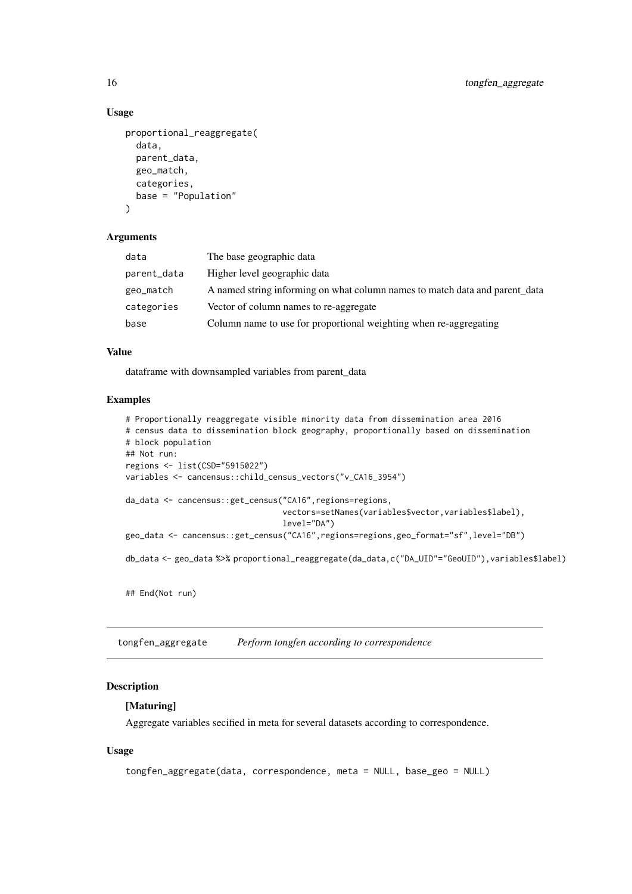### Usage

```
proportional_reaggregate(
  data,
  parent_data,
  geo_match,
  categories,
  base = "Population"
\lambda
```
# Arguments

| data        | The base geographic data                                                    |
|-------------|-----------------------------------------------------------------------------|
| parent_data | Higher level geographic data                                                |
| geo_match   | A named string informing on what column names to match data and parent data |
| categories  | Vector of column names to re-aggregate                                      |
| base        | Column name to use for proportional weighting when re-aggregating           |
|             |                                                                             |

### Value

dataframe with downsampled variables from parent\_data

# Examples

```
# Proportionally reaggregate visible minority data from dissemination area 2016
# census data to dissemination block geography, proportionally based on dissemination
# block population
## Not run:
regions <- list(CSD="5915022")
variables <- cancensus::child_census_vectors("v_CA16_3954")
da_data <- cancensus::get_census("CA16",regions=regions,
                                 vectors=setNames(variables$vector,variables$label),
                                 level="DA")
geo_data <- cancensus::get_census("CA16",regions=regions,geo_format="sf",level="DB")
db_data <- geo_data %>% proportional_reaggregate(da_data,c("DA_UID"="GeoUID"),variables$label)
```
## End(Not run)

tongfen\_aggregate *Perform tongfen according to correspondence*

### Description

### [Maturing]

Aggregate variables secified in meta for several datasets according to correspondence.

# Usage

```
tongfen_aggregate(data, correspondence, meta = NULL, base_geo = NULL)
```
<span id="page-15-0"></span>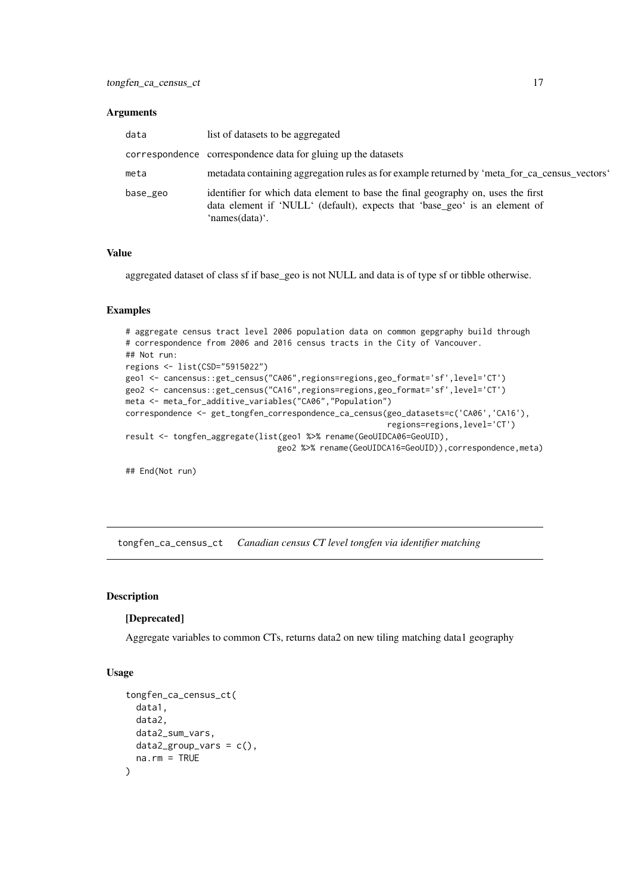### <span id="page-16-0"></span>Arguments

| data     | list of datasets to be aggregated                                                                                                                                                |
|----------|----------------------------------------------------------------------------------------------------------------------------------------------------------------------------------|
|          | correspondence correspondence data for gluing up the datasets                                                                                                                    |
| meta     | metadata containing aggregation rules as for example returned by 'meta_for_ca_census_vectors'                                                                                    |
| base_geo | identifier for which data element to base the final geography on, uses the first<br>data element if 'NULL' (default), expects that 'base_geo' is an element of<br>'names(data)'. |

### Value

aggregated dataset of class sf if base\_geo is not NULL and data is of type sf or tibble otherwise.

### Examples

```
# aggregate census tract level 2006 population data on common gepgraphy build through
# correspondence from 2006 and 2016 census tracts in the City of Vancouver.
## Not run:
regions <- list(CSD="5915022")
geo1 <- cancensus::get_census("CA06",regions=regions,geo_format='sf',level='CT')
geo2 <- cancensus::get_census("CA16",regions=regions,geo_format='sf',level='CT')
meta <- meta_for_additive_variables("CA06","Population")
correspondence <- get_tongfen_correspondence_ca_census(geo_datasets=c('CA06','CA16'),
                                                       regions=regions,level='CT')
result <- tongfen_aggregate(list(geo1 %>% rename(GeoUIDCA06=GeoUID),
                                geo2 %>% rename(GeoUIDCA16=GeoUID)),correspondence,meta)
```
## End(Not run)

tongfen\_ca\_census\_ct *Canadian census CT level tongfen via identifier matching*

### Description

### [Deprecated]

Aggregate variables to common CTs, returns data2 on new tiling matching data1 geography

### Usage

```
tongfen_ca_census_ct(
 data1,
 data2,
 data2_sum_vars,
 data2_{group\_vars} = c(),
 na.rm = TRUE
)
```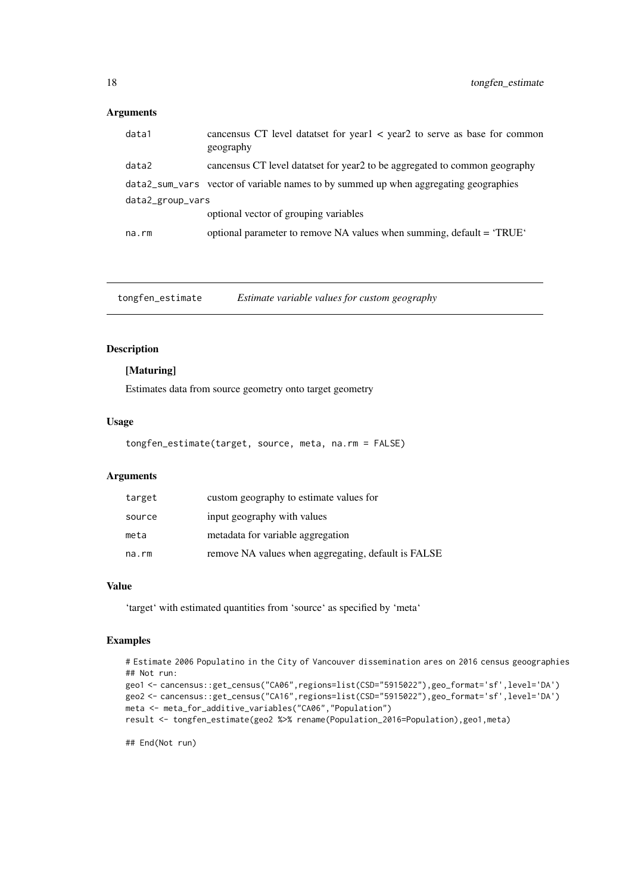# <span id="page-17-0"></span>Arguments

| data1            | cancensus CT level dataset for year 1 < year 2 to serve as base for common<br>geography |  |
|------------------|-----------------------------------------------------------------------------------------|--|
| data2            | cancensus CT level datatset for year2 to be aggregated to common geography              |  |
|                  | data2_sum_vars vector of variable names to by summed up when aggregating geographies    |  |
| data2_group_vars |                                                                                         |  |
|                  | optional vector of grouping variables                                                   |  |
| na.rm            | optional parameter to remove NA values when summing, default = 'TRUE'                   |  |

tongfen\_estimate *Estimate variable values for custom geography*

# Description

# [Maturing]

Estimates data from source geometry onto target geometry

### Usage

tongfen\_estimate(target, source, meta, na.rm = FALSE)

# Arguments

| target | custom geography to estimate values for             |
|--------|-----------------------------------------------------|
| source | input geography with values                         |
| meta   | metadata for variable aggregation                   |
| na.rm  | remove NA values when aggregating, default is FALSE |

# Value

'target' with estimated quantities from 'source' as specified by 'meta'

### Examples

```
# Estimate 2006 Populatino in the City of Vancouver dissemination ares on 2016 census geoographies
## Not run:
geo1 <- cancensus::get_census("CA06",regions=list(CSD="5915022"),geo_format='sf',level='DA')
geo2 <- cancensus::get_census("CA16",regions=list(CSD="5915022"),geo_format='sf',level='DA')
meta <- meta_for_additive_variables("CA06","Population")
result <- tongfen_estimate(geo2 %>% rename(Population_2016=Population),geo1,meta)
```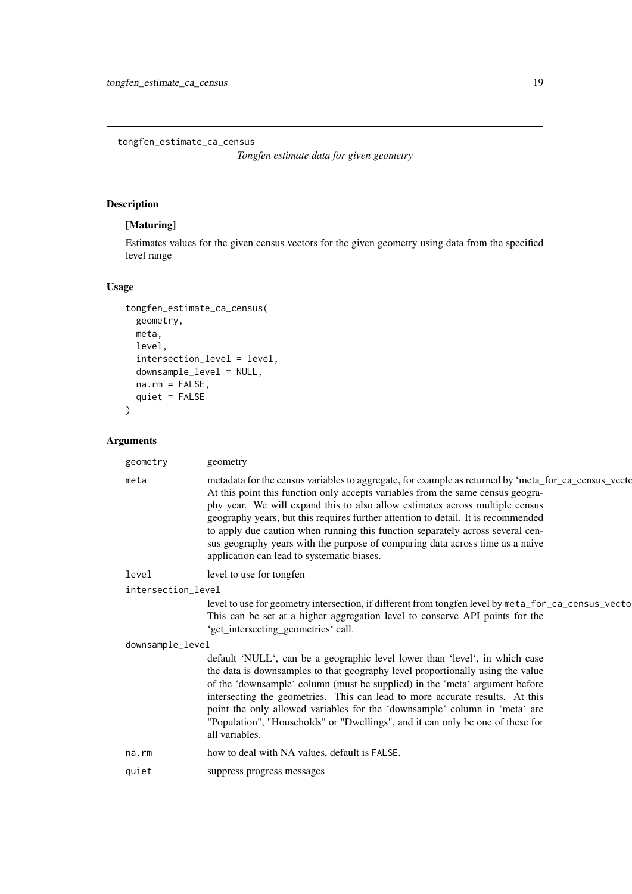<span id="page-18-0"></span>tongfen\_estimate\_ca\_census

*Tongfen estimate data for given geometry*

# Description

# [Maturing]

Estimates values for the given census vectors for the given geometry using data from the specified level range

# Usage

```
tongfen_estimate_ca_census(
 geometry,
  meta,
  level,
  intersection_level = level,
  downsample_level = NULL,
  na.rm = FALSE,quiet = FALSE
)
```
# Arguments

| geometry           | geometry                                                                                                                                                                                                                                                                                                                                                                                                                                                                                                                                                                      |
|--------------------|-------------------------------------------------------------------------------------------------------------------------------------------------------------------------------------------------------------------------------------------------------------------------------------------------------------------------------------------------------------------------------------------------------------------------------------------------------------------------------------------------------------------------------------------------------------------------------|
| meta               | metadata for the census variables to aggregate, for example as returned by 'meta_for_ca_census_vecto<br>At this point this function only accepts variables from the same census geogra-<br>phy year. We will expand this to also allow estimates across multiple census<br>geography years, but this requires further attention to detail. It is recommended<br>to apply due caution when running this function separately across several cen-<br>sus geography years with the purpose of comparing data across time as a naive<br>application can lead to systematic biases. |
| level              | level to use for tongfen                                                                                                                                                                                                                                                                                                                                                                                                                                                                                                                                                      |
| intersection_level |                                                                                                                                                                                                                                                                                                                                                                                                                                                                                                                                                                               |
|                    | level to use for geometry intersection, if different from tongfen level by meta_for_ca_census_vecto<br>This can be set at a higher aggregation level to conserve API points for the<br>'get_intersecting_geometries' call.                                                                                                                                                                                                                                                                                                                                                    |
| downsample_level   |                                                                                                                                                                                                                                                                                                                                                                                                                                                                                                                                                                               |
|                    | default 'NULL', can be a geographic level lower than 'level', in which case<br>the data is downsamples to that geography level proportionally using the value<br>of the 'downsample' column (must be supplied) in the 'meta' argument before<br>intersecting the geometries. This can lead to more accurate results. At this<br>point the only allowed variables for the 'downsample' column in 'meta' are<br>"Population", "Households" or "Dwellings", and it can only be one of these for<br>all variables.                                                                |
| na.rm              | how to deal with NA values, default is FALSE.                                                                                                                                                                                                                                                                                                                                                                                                                                                                                                                                 |
| quiet              | suppress progress messages                                                                                                                                                                                                                                                                                                                                                                                                                                                                                                                                                    |
|                    |                                                                                                                                                                                                                                                                                                                                                                                                                                                                                                                                                                               |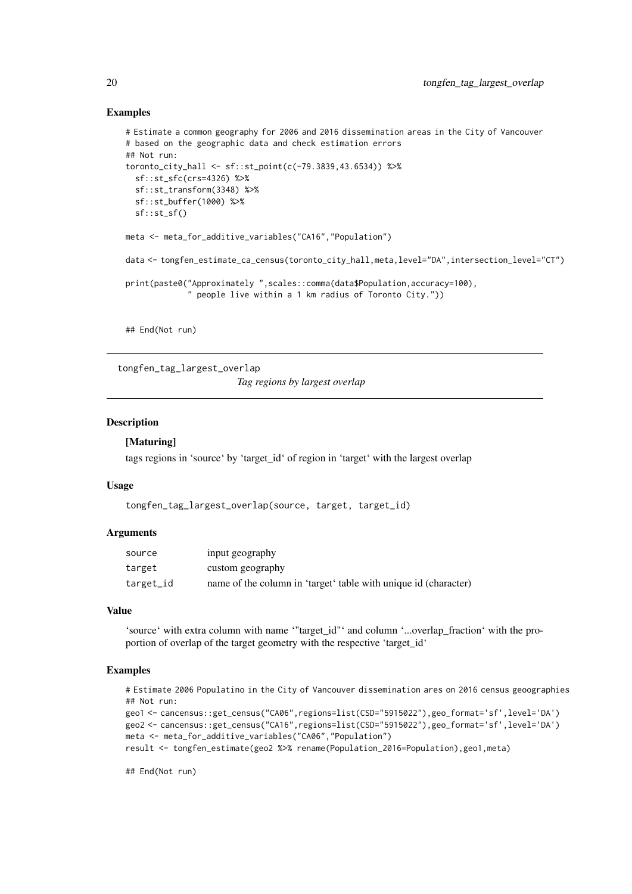### Examples

```
# Estimate a common geography for 2006 and 2016 dissemination areas in the City of Vancouver
# based on the geographic data and check estimation errors
## Not run:
toronto_city_hall <- sf::st_point(c(-79.3839,43.6534)) %>%
  sf::st_sfc(crs=4326) %>%
  sf::st_transform(3348) %>%
  sf::st_buffer(1000) %>%
  sf::st_sf()
meta <- meta_for_additive_variables("CA16","Population")
data <- tongfen_estimate_ca_census(toronto_city_hall,meta,level="DA",intersection_level="CT")
print(paste0("Approximately ",scales::comma(data$Population,accuracy=100),
             " people live within a 1 km radius of Toronto City."))
```
## End(Not run)

tongfen\_tag\_largest\_overlap

*Tag regions by largest overlap*

### Description

### [Maturing]

tags regions in 'source' by 'target\_id' of region in 'target' with the largest overlap

### Usage

```
tongfen_tag_largest_overlap(source, target, target_id)
```
### Arguments

| source    | input geography                                                 |
|-----------|-----------------------------------------------------------------|
| target    | custom geography                                                |
| target_id | name of the column in 'target' table with unique id (character) |

#### Value

'source' with extra column with name '"target\_id"' and column '...overlap\_fraction' with the proportion of overlap of the target geometry with the respective 'target\_id'

# Examples

# Estimate 2006 Populatino in the City of Vancouver dissemination ares on 2016 census geoographies ## Not run:

```
geo1 <- cancensus::get_census("CA06",regions=list(CSD="5915022"),geo_format='sf',level='DA')
geo2 <- cancensus::get_census("CA16",regions=list(CSD="5915022"),geo_format='sf',level='DA')
meta <- meta_for_additive_variables("CA06","Population")
result <- tongfen_estimate(geo2 %>% rename(Population_2016=Population),geo1,meta)
```
<span id="page-19-0"></span>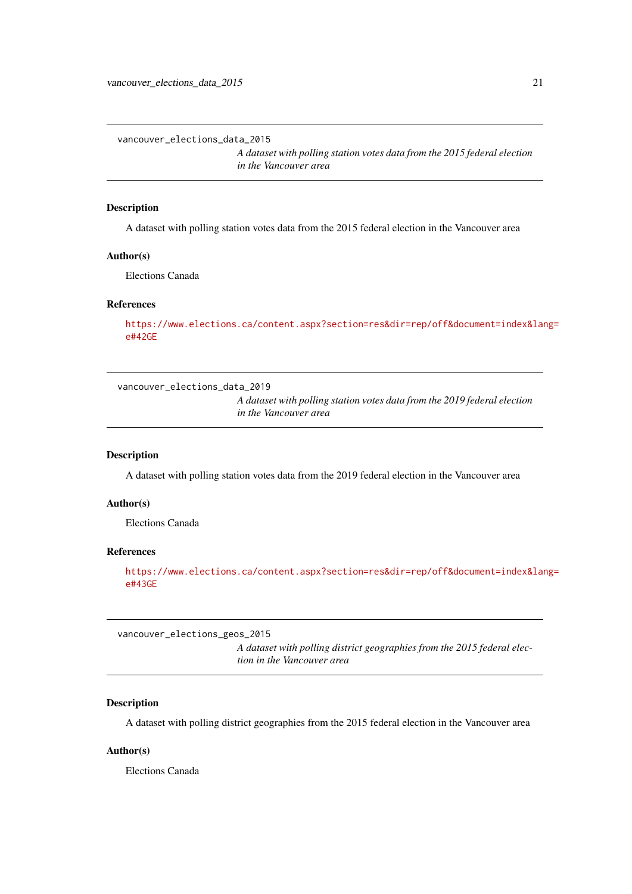<span id="page-20-0"></span>vancouver\_elections\_data\_2015

*A dataset with polling station votes data from the 2015 federal election in the Vancouver area*

### Description

A dataset with polling station votes data from the 2015 federal election in the Vancouver area

#### Author(s)

Elections Canada

### References

[https://www.elections.ca/content.aspx?section=res&dir=rep/off&document=index&lan](https://www.elections.ca/content.aspx?section=res&dir=rep/off&document=index&lang=e#42GE)g= [e#42GE](https://www.elections.ca/content.aspx?section=res&dir=rep/off&document=index&lang=e#42GE)

vancouver\_elections\_data\_2019

*A dataset with polling station votes data from the 2019 federal election in the Vancouver area*

#### Description

A dataset with polling station votes data from the 2019 federal election in the Vancouver area

### Author(s)

Elections Canada

### References

[https://www.elections.ca/content.aspx?section=res&dir=rep/off&document=index&lan](https://www.elections.ca/content.aspx?section=res&dir=rep/off&document=index&lang=e#43GE)g= [e#43GE](https://www.elections.ca/content.aspx?section=res&dir=rep/off&document=index&lang=e#43GE)

vancouver\_elections\_geos\_2015

*A dataset with polling district geographies from the 2015 federal election in the Vancouver area*

### Description

A dataset with polling district geographies from the 2015 federal election in the Vancouver area

# Author(s)

Elections Canada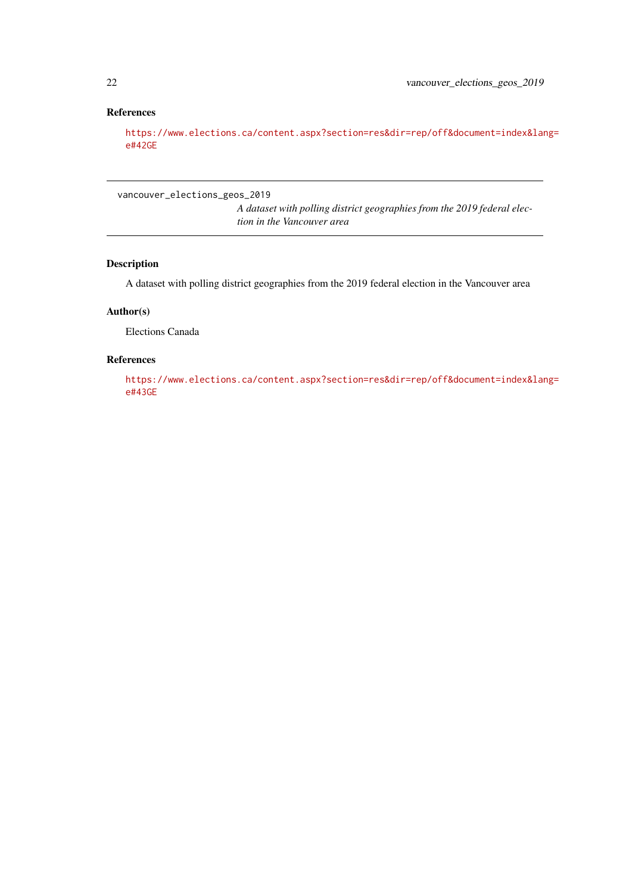# <span id="page-21-0"></span>References

[https://www.elections.ca/content.aspx?section=res&dir=rep/off&document=index&lan](https://www.elections.ca/content.aspx?section=res&dir=rep/off&document=index&lang=e#42GE)g= [e#42GE](https://www.elections.ca/content.aspx?section=res&dir=rep/off&document=index&lang=e#42GE)

vancouver\_elections\_geos\_2019

*A dataset with polling district geographies from the 2019 federal election in the Vancouver area*

# Description

A dataset with polling district geographies from the 2019 federal election in the Vancouver area

### Author(s)

Elections Canada

### References

[https://www.elections.ca/content.aspx?section=res&dir=rep/off&document=index&lan](https://www.elections.ca/content.aspx?section=res&dir=rep/off&document=index&lang=e#43GE)g= [e#43GE](https://www.elections.ca/content.aspx?section=res&dir=rep/off&document=index&lang=e#43GE)